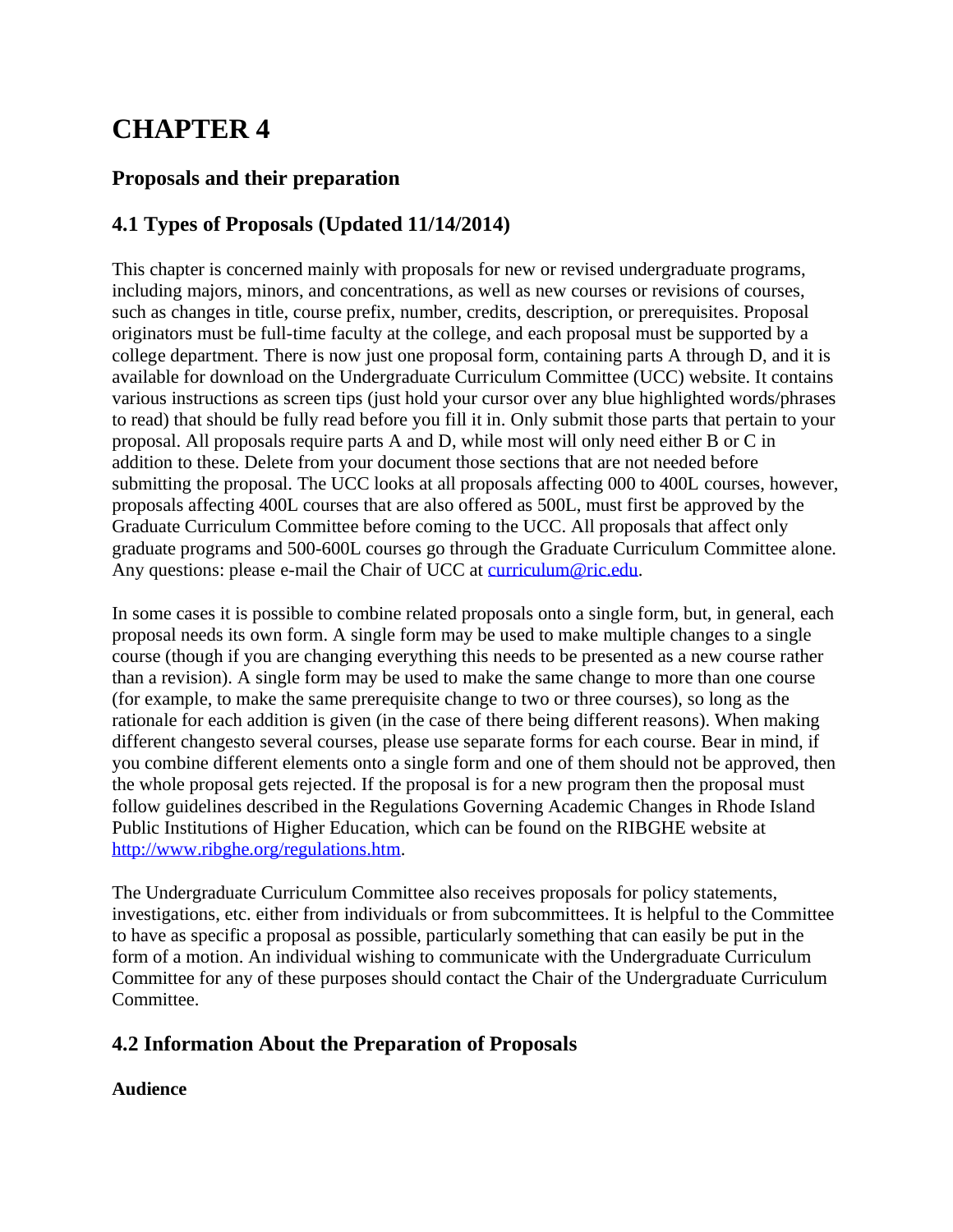# **CHAPTER 4**

# **Proposals and their preparation**

# **4.1 Types of Proposals (Updated 11/14/2014)**

This chapter is concerned mainly with proposals for new or revised undergraduate programs, including majors, minors, and concentrations, as well as new courses or revisions of courses, such as changes in title, course prefix, number, credits, description, or prerequisites. Proposal originators must be full-time faculty at the college, and each proposal must be supported by a college department. There is now just one proposal form, containing parts A through D, and it is available for download on the Undergraduate Curriculum Committee (UCC) website. It contains various instructions as screen tips (just hold your cursor over any blue highlighted words/phrases to read) that should be fully read before you fill it in. Only submit those parts that pertain to your proposal. All proposals require parts A and D, while most will only need either B or C in addition to these. Delete from your document those sections that are not needed before submitting the proposal. The UCC looks at all proposals affecting 000 to 400L courses, however, proposals affecting 400L courses that are also offered as 500L, must first be approved by the Graduate Curriculum Committee before coming to the UCC. All proposals that affect only graduate programs and 500-600L courses go through the Graduate Curriculum Committee alone. Any questions: please e-mail the Chair of UCC at [curriculum@ric.edu.](mailto:curriculum@ric.edu)

In some cases it is possible to combine related proposals onto a single form, but, in general, each proposal needs its own form. A single form may be used to make multiple changes to a single course (though if you are changing everything this needs to be presented as a new course rather than a revision). A single form may be used to make the same change to more than one course (for example, to make the same prerequisite change to two or three courses), so long as the rationale for each addition is given (in the case of there being different reasons). When making different changesto several courses, please use separate forms for each course. Bear in mind, if you combine different elements onto a single form and one of them should not be approved, then the whole proposal gets rejected. If the proposal is for a new program then the proposal must follow guidelines described in the Regulations Governing Academic Changes in Rhode Island Public Institutions of Higher Education, which can be found on the RIBGHE website at [http://www.ribghe.org/regulations.htm.](http://www.ribghe.org/regulations.htm)

The Undergraduate Curriculum Committee also receives proposals for policy statements, investigations, etc. either from individuals or from subcommittees. It is helpful to the Committee to have as specific a proposal as possible, particularly something that can easily be put in the form of a motion. An individual wishing to communicate with the Undergraduate Curriculum Committee for any of these purposes should contact the Chair of the Undergraduate Curriculum Committee.

## **4.2 Information About the Preparation of Proposals**

#### **Audience**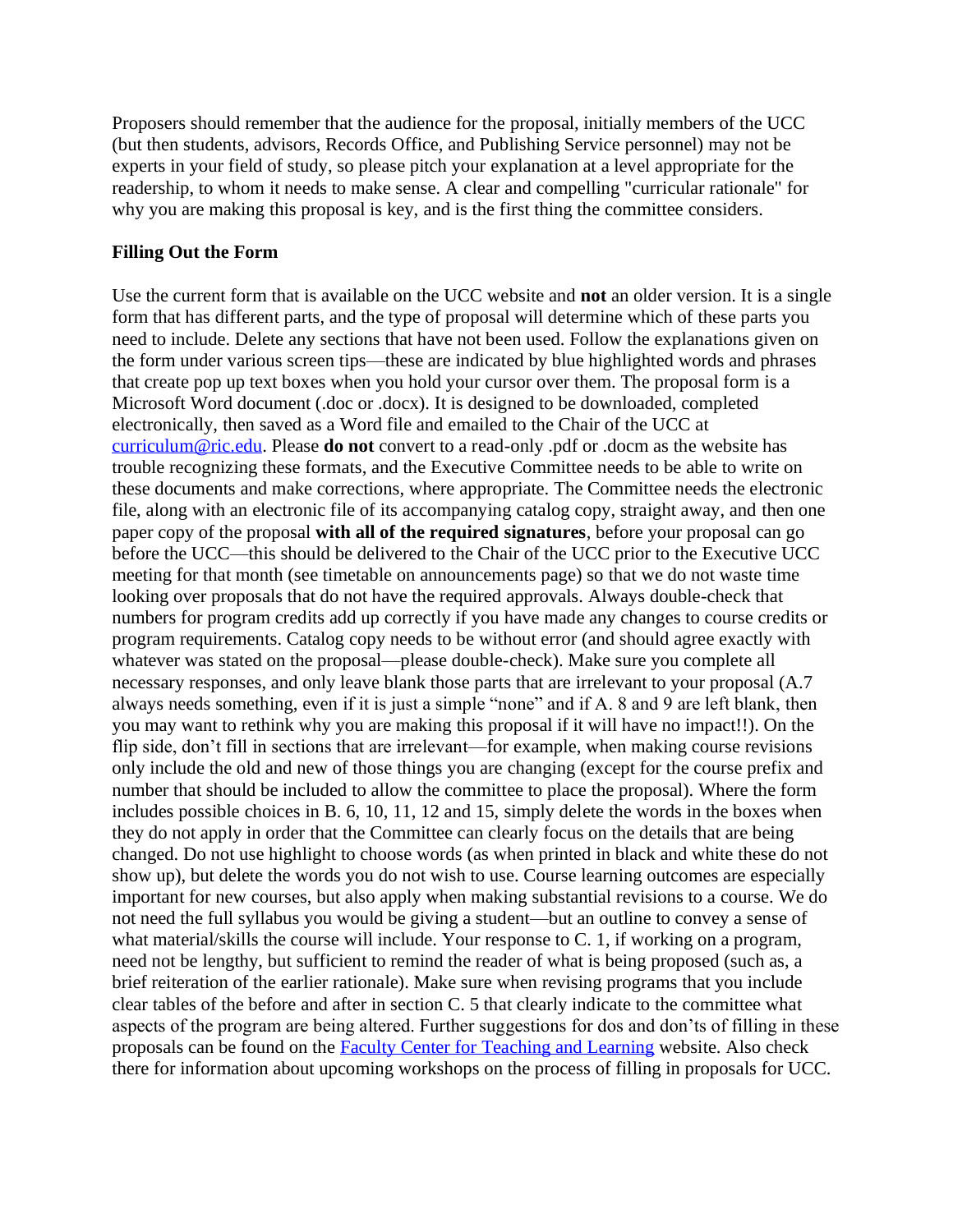Proposers should remember that the audience for the proposal, initially members of the UCC (but then students, advisors, Records Office, and Publishing Service personnel) may not be experts in your field of study, so please pitch your explanation at a level appropriate for the readership, to whom it needs to make sense. A clear and compelling "curricular rationale" for why you are making this proposal is key, and is the first thing the committee considers.

#### **Filling Out the Form**

Use the current form that is available on the UCC website and **not** an older version. It is a single form that has different parts, and the type of proposal will determine which of these parts you need to include. Delete any sections that have not been used. Follow the explanations given on the form under various screen tips—these are indicated by blue highlighted words and phrases that create pop up text boxes when you hold your cursor over them. The proposal form is a Microsoft Word document (.doc or .docx). It is designed to be downloaded, completed electronically, then saved as a Word file and emailed to the Chair of the UCC at [curriculum@ric.edu.](mailto:curriculum@ric.edu) Please **do not** convert to a read-only .pdf or .docm as the website has trouble recognizing these formats, and the Executive Committee needs to be able to write on these documents and make corrections, where appropriate. The Committee needs the electronic file, along with an electronic file of its accompanying catalog copy, straight away, and then one paper copy of the proposal **with all of the required signatures**, before your proposal can go before the UCC—this should be delivered to the Chair of the UCC prior to the Executive UCC meeting for that month (see timetable on announcements page) so that we do not waste time looking over proposals that do not have the required approvals. Always double-check that numbers for program credits add up correctly if you have made any changes to course credits or program requirements. Catalog copy needs to be without error (and should agree exactly with whatever was stated on the proposal—please double-check). Make sure you complete all necessary responses, and only leave blank those parts that are irrelevant to your proposal (A.7 always needs something, even if it is just a simple "none" and if A. 8 and 9 are left blank, then you may want to rethink why you are making this proposal if it will have no impact!!). On the flip side, don't fill in sections that are irrelevant—for example, when making course revisions only include the old and new of those things you are changing (except for the course prefix and number that should be included to allow the committee to place the proposal). Where the form includes possible choices in B. 6, 10, 11, 12 and 15, simply delete the words in the boxes when they do not apply in order that the Committee can clearly focus on the details that are being changed. Do not use highlight to choose words (as when printed in black and white these do not show up), but delete the words you do not wish to use. Course learning outcomes are especially important for new courses, but also apply when making substantial revisions to a course. We do not need the full syllabus you would be giving a student—but an outline to convey a sense of what material/skills the course will include. Your response to C. 1, if working on a program, need not be lengthy, but sufficient to remind the reader of what is being proposed (such as, a brief reiteration of the earlier rationale). Make sure when revising programs that you include clear tables of the before and after in section C. 5 that clearly indicate to the committee what aspects of the program are being altered. Further suggestions for dos and don'ts of filling in these proposals can be found on the [Faculty Center for Teaching and Learning](http://www.ric.edu/fctl/index.php) website. Also check there for information about upcoming workshops on the process of filling in proposals for UCC.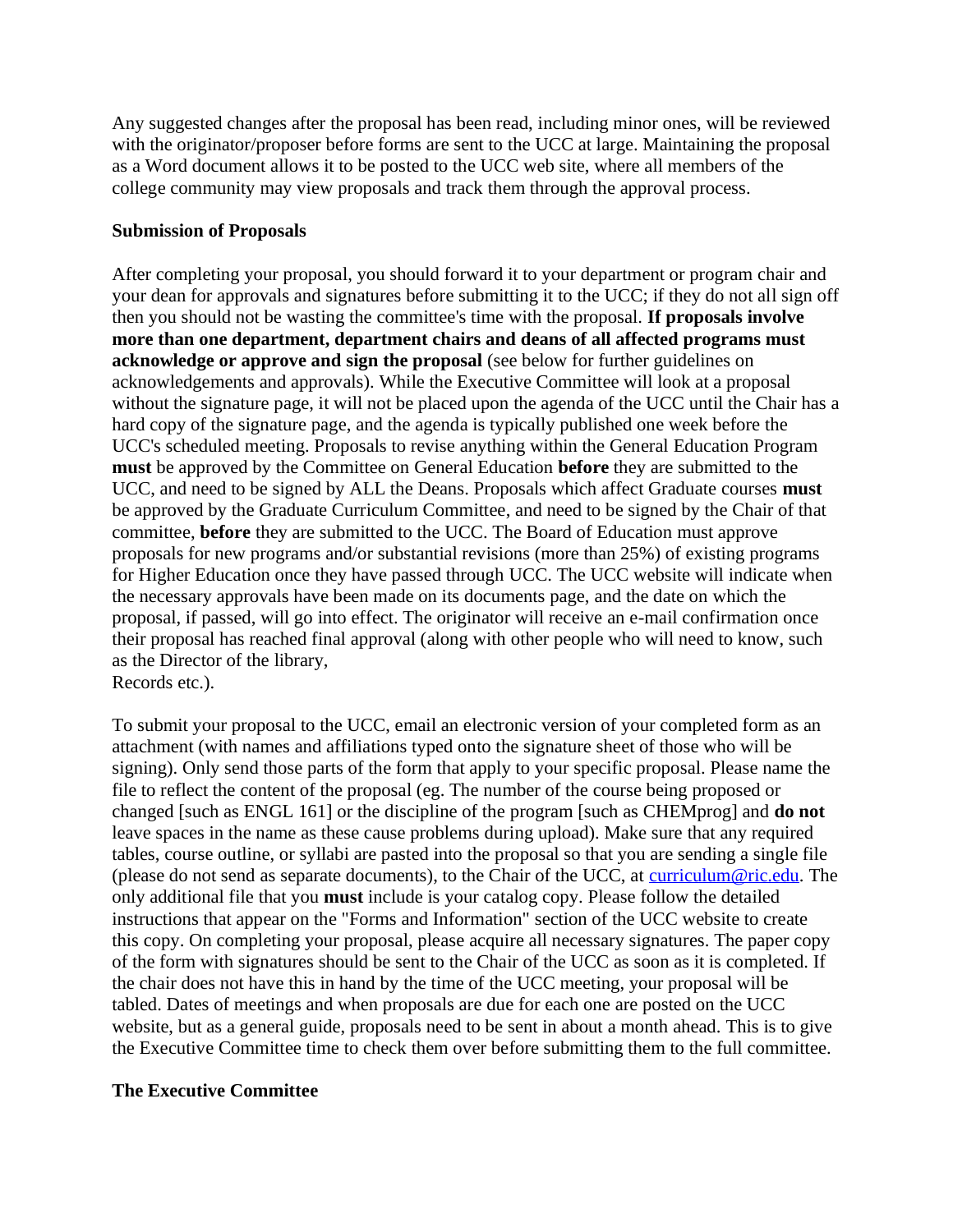Any suggested changes after the proposal has been read, including minor ones, will be reviewed with the originator/proposer before forms are sent to the UCC at large. Maintaining the proposal as a Word document allows it to be posted to the UCC web site, where all members of the college community may view proposals and track them through the approval process.

#### **Submission of Proposals**

After completing your proposal, you should forward it to your department or program chair and your dean for approvals and signatures before submitting it to the UCC; if they do not all sign off then you should not be wasting the committee's time with the proposal. **If proposals involve more than one department, department chairs and deans of all affected programs must acknowledge or approve and sign the proposal** (see below for further guidelines on acknowledgements and approvals). While the Executive Committee will look at a proposal without the signature page, it will not be placed upon the agenda of the UCC until the Chair has a hard copy of the signature page, and the agenda is typically published one week before the UCC's scheduled meeting. Proposals to revise anything within the General Education Program **must** be approved by the Committee on General Education **before** they are submitted to the UCC, and need to be signed by ALL the Deans. Proposals which affect Graduate courses **must** be approved by the Graduate Curriculum Committee, and need to be signed by the Chair of that committee, **before** they are submitted to the UCC. The Board of Education must approve proposals for new programs and/or substantial revisions (more than 25%) of existing programs for Higher Education once they have passed through UCC. The UCC website will indicate when the necessary approvals have been made on its documents page, and the date on which the proposal, if passed, will go into effect. The originator will receive an e-mail confirmation once their proposal has reached final approval (along with other people who will need to know, such as the Director of the library,

Records etc.).

To submit your proposal to the UCC, email an electronic version of your completed form as an attachment (with names and affiliations typed onto the signature sheet of those who will be signing). Only send those parts of the form that apply to your specific proposal. Please name the file to reflect the content of the proposal (eg. The number of the course being proposed or changed [such as ENGL 161] or the discipline of the program [such as CHEMprog] and **do not** leave spaces in the name as these cause problems during upload). Make sure that any required tables, course outline, or syllabi are pasted into the proposal so that you are sending a single file (please do not send as separate documents), to the Chair of the UCC, at [curriculum@ric.edu.](mailto:curriculum@ric.edu) The only additional file that you **must** include is your catalog copy. Please follow the detailed instructions that appear on the "Forms and Information" section of the UCC website to create this copy. On completing your proposal, please acquire all necessary signatures. The paper copy of the form with signatures should be sent to the Chair of the UCC as soon as it is completed. If the chair does not have this in hand by the time of the UCC meeting, your proposal will be tabled. Dates of meetings and when proposals are due for each one are posted on the UCC website, but as a general guide, proposals need to be sent in about a month ahead. This is to give the Executive Committee time to check them over before submitting them to the full committee.

#### **The Executive Committee**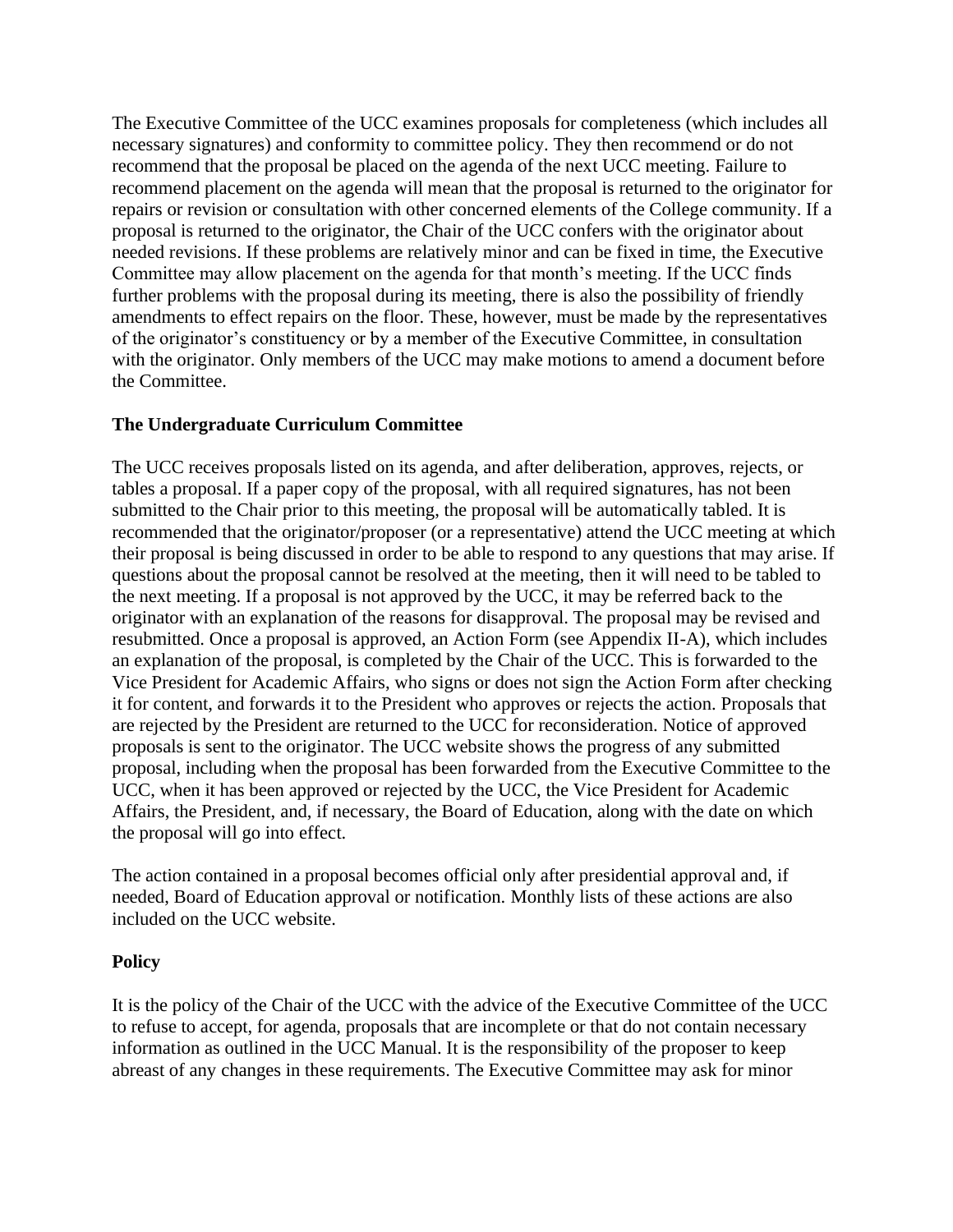The Executive Committee of the UCC examines proposals for completeness (which includes all necessary signatures) and conformity to committee policy. They then recommend or do not recommend that the proposal be placed on the agenda of the next UCC meeting. Failure to recommend placement on the agenda will mean that the proposal is returned to the originator for repairs or revision or consultation with other concerned elements of the College community. If a proposal is returned to the originator, the Chair of the UCC confers with the originator about needed revisions. If these problems are relatively minor and can be fixed in time, the Executive Committee may allow placement on the agenda for that month's meeting. If the UCC finds further problems with the proposal during its meeting, there is also the possibility of friendly amendments to effect repairs on the floor. These, however, must be made by the representatives of the originator's constituency or by a member of the Executive Committee, in consultation with the originator. Only members of the UCC may make motions to amend a document before the Committee.

#### **The Undergraduate Curriculum Committee**

The UCC receives proposals listed on its agenda, and after deliberation, approves, rejects, or tables a proposal. If a paper copy of the proposal, with all required signatures, has not been submitted to the Chair prior to this meeting, the proposal will be automatically tabled. It is recommended that the originator/proposer (or a representative) attend the UCC meeting at which their proposal is being discussed in order to be able to respond to any questions that may arise. If questions about the proposal cannot be resolved at the meeting, then it will need to be tabled to the next meeting. If a proposal is not approved by the UCC, it may be referred back to the originator with an explanation of the reasons for disapproval. The proposal may be revised and resubmitted. Once a proposal is approved, an Action Form (see Appendix II-A), which includes an explanation of the proposal, is completed by the Chair of the UCC. This is forwarded to the Vice President for Academic Affairs, who signs or does not sign the Action Form after checking it for content, and forwards it to the President who approves or rejects the action. Proposals that are rejected by the President are returned to the UCC for reconsideration. Notice of approved proposals is sent to the originator. The UCC website shows the progress of any submitted proposal, including when the proposal has been forwarded from the Executive Committee to the UCC, when it has been approved or rejected by the UCC, the Vice President for Academic Affairs, the President, and, if necessary, the Board of Education, along with the date on which the proposal will go into effect.

The action contained in a proposal becomes official only after presidential approval and, if needed, Board of Education approval or notification. Monthly lists of these actions are also included on the UCC website.

#### **Policy**

It is the policy of the Chair of the UCC with the advice of the Executive Committee of the UCC to refuse to accept, for agenda, proposals that are incomplete or that do not contain necessary information as outlined in the UCC Manual. It is the responsibility of the proposer to keep abreast of any changes in these requirements. The Executive Committee may ask for minor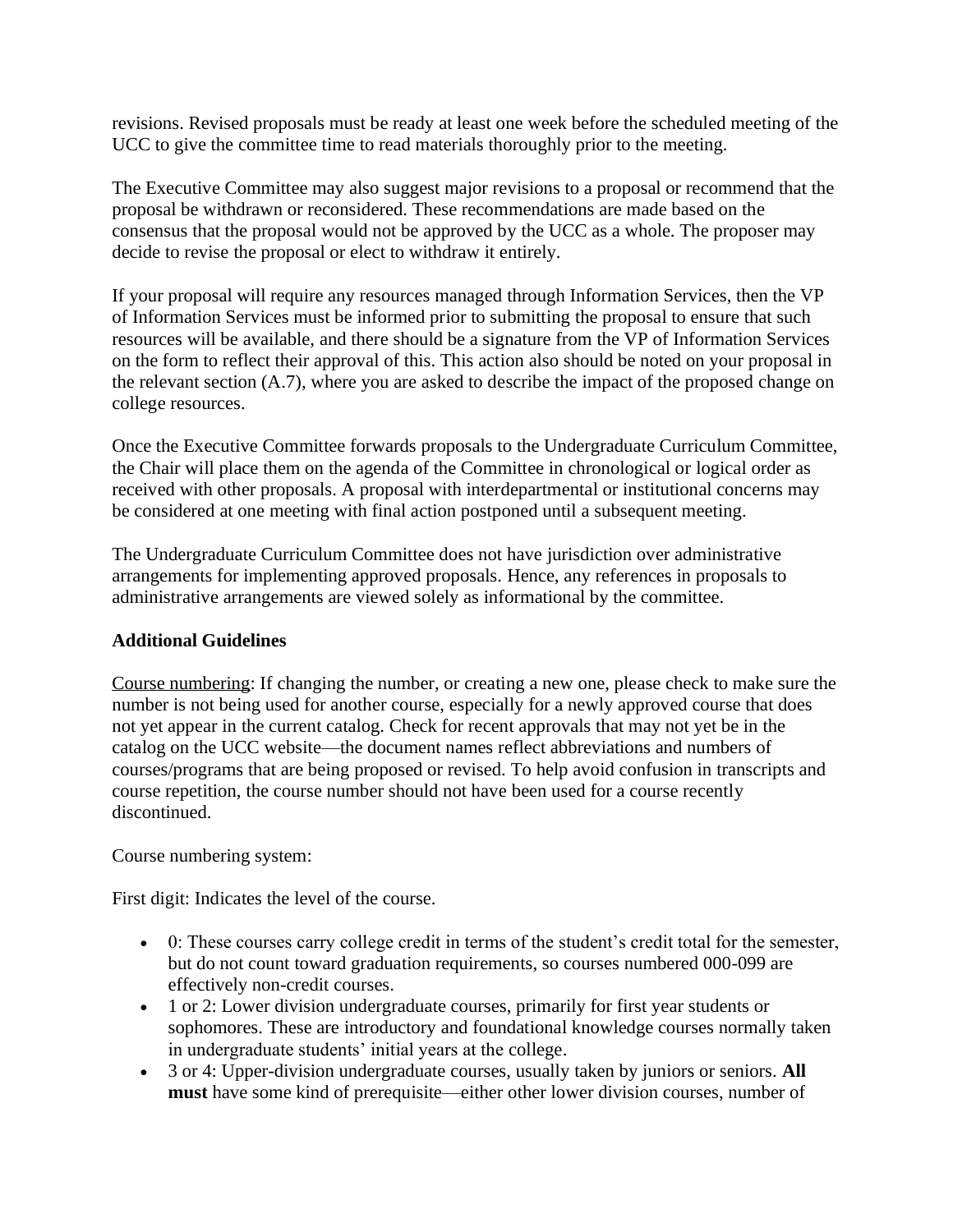revisions. Revised proposals must be ready at least one week before the scheduled meeting of the UCC to give the committee time to read materials thoroughly prior to the meeting.

The Executive Committee may also suggest major revisions to a proposal or recommend that the proposal be withdrawn or reconsidered. These recommendations are made based on the consensus that the proposal would not be approved by the UCC as a whole. The proposer may decide to revise the proposal or elect to withdraw it entirely.

If your proposal will require any resources managed through Information Services, then the VP of Information Services must be informed prior to submitting the proposal to ensure that such resources will be available, and there should be a signature from the VP of Information Services on the form to reflect their approval of this. This action also should be noted on your proposal in the relevant section (A.7), where you are asked to describe the impact of the proposed change on college resources.

Once the Executive Committee forwards proposals to the Undergraduate Curriculum Committee, the Chair will place them on the agenda of the Committee in chronological or logical order as received with other proposals. A proposal with interdepartmental or institutional concerns may be considered at one meeting with final action postponed until a subsequent meeting.

The Undergraduate Curriculum Committee does not have jurisdiction over administrative arrangements for implementing approved proposals. Hence, any references in proposals to administrative arrangements are viewed solely as informational by the committee.

#### **Additional Guidelines**

Course numbering: If changing the number, or creating a new one, please check to make sure the number is not being used for another course, especially for a newly approved course that does not yet appear in the current catalog. Check for recent approvals that may not yet be in the catalog on the UCC website—the document names reflect abbreviations and numbers of courses/programs that are being proposed or revised. To help avoid confusion in transcripts and course repetition, the course number should not have been used for a course recently discontinued.

Course numbering system:

First digit: Indicates the level of the course.

- 0: These courses carry college credit in terms of the student's credit total for the semester, but do not count toward graduation requirements, so courses numbered 000-099 are effectively non-credit courses.
- 1 or 2: Lower division undergraduate courses, primarily for first year students or sophomores. These are introductory and foundational knowledge courses normally taken in undergraduate students' initial years at the college.
- 3 or 4: Upper-division undergraduate courses, usually taken by juniors or seniors. **All must** have some kind of prerequisite—either other lower division courses, number of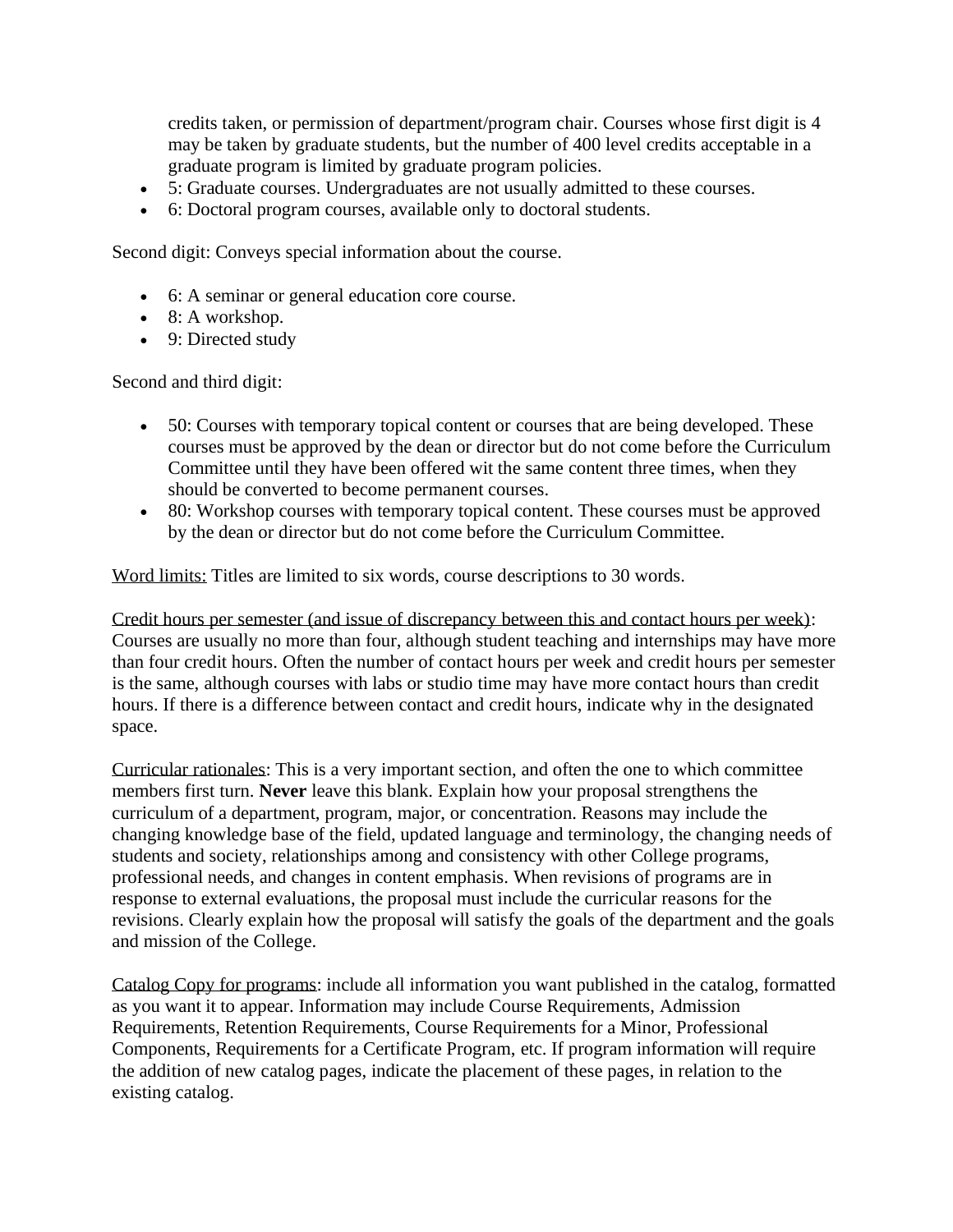credits taken, or permission of department/program chair. Courses whose first digit is 4 may be taken by graduate students, but the number of 400 level credits acceptable in a graduate program is limited by graduate program policies.

- 5: Graduate courses. Undergraduates are not usually admitted to these courses.
- 6: Doctoral program courses, available only to doctoral students.

Second digit: Conveys special information about the course.

- 6: A seminar or general education core course.
- $\bullet$  8: A workshop.
- 9: Directed study

Second and third digit:

- 50: Courses with temporary topical content or courses that are being developed. These courses must be approved by the dean or director but do not come before the Curriculum Committee until they have been offered wit the same content three times, when they should be converted to become permanent courses.
- 80: Workshop courses with temporary topical content. These courses must be approved by the dean or director but do not come before the Curriculum Committee.

Word limits: Titles are limited to six words, course descriptions to 30 words.

Credit hours per semester (and issue of discrepancy between this and contact hours per week): Courses are usually no more than four, although student teaching and internships may have more than four credit hours. Often the number of contact hours per week and credit hours per semester is the same, although courses with labs or studio time may have more contact hours than credit hours. If there is a difference between contact and credit hours, indicate why in the designated space.

Curricular rationales: This is a very important section, and often the one to which committee members first turn. **Never** leave this blank. Explain how your proposal strengthens the curriculum of a department, program, major, or concentration. Reasons may include the changing knowledge base of the field, updated language and terminology, the changing needs of students and society, relationships among and consistency with other College programs, professional needs, and changes in content emphasis. When revisions of programs are in response to external evaluations, the proposal must include the curricular reasons for the revisions. Clearly explain how the proposal will satisfy the goals of the department and the goals and mission of the College.

Catalog Copy for programs: include all information you want published in the catalog, formatted as you want it to appear. Information may include Course Requirements, Admission Requirements, Retention Requirements, Course Requirements for a Minor, Professional Components, Requirements for a Certificate Program, etc. If program information will require the addition of new catalog pages, indicate the placement of these pages, in relation to the existing catalog.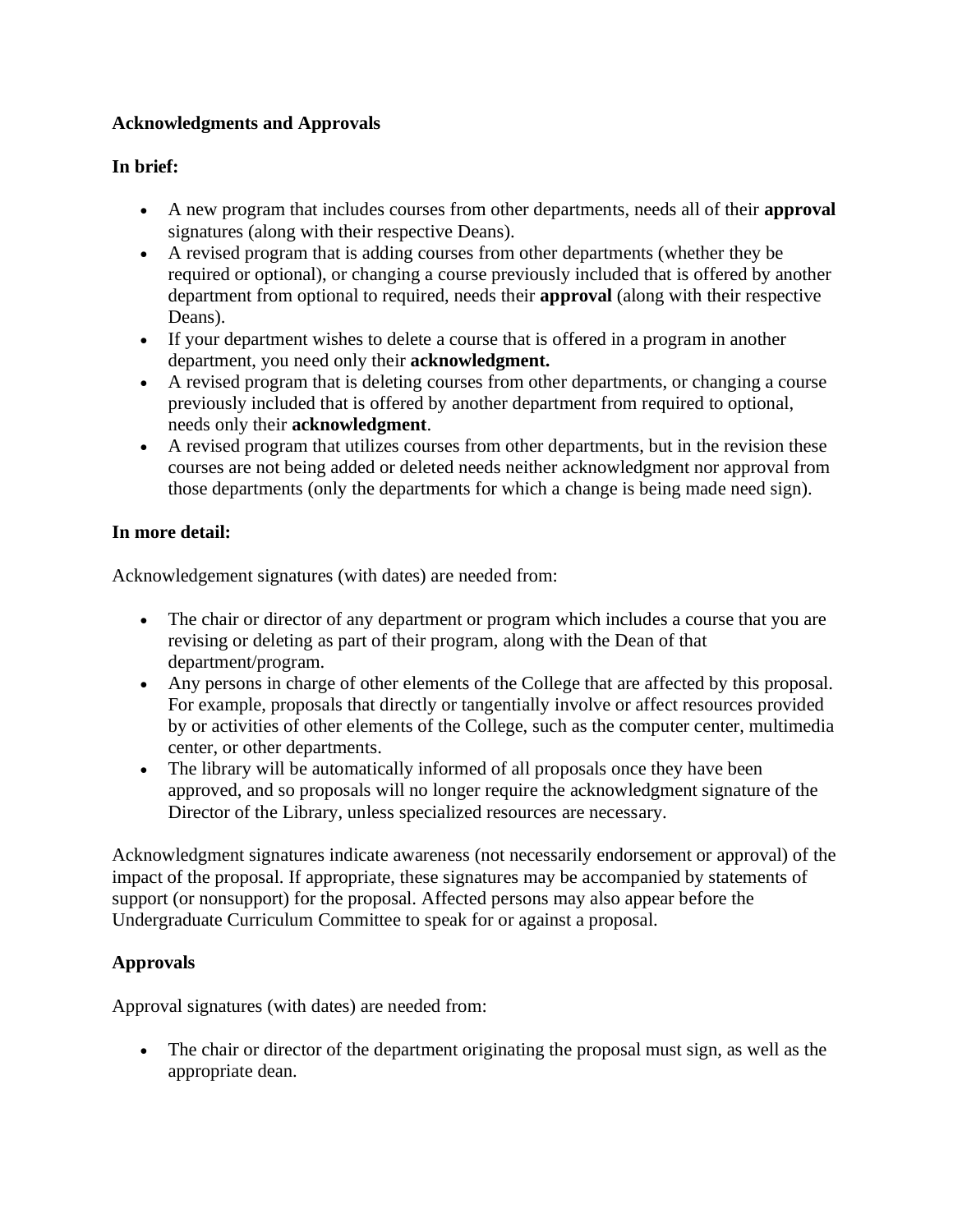## **Acknowledgments and Approvals**

### **In brief:**

- A new program that includes courses from other departments, needs all of their **approval** signatures (along with their respective Deans).
- A revised program that is adding courses from other departments (whether they be required or optional), or changing a course previously included that is offered by another department from optional to required, needs their **approval** (along with their respective Deans).
- If your department wishes to delete a course that is offered in a program in another department, you need only their **acknowledgment.**
- A revised program that is deleting courses from other departments, or changing a course previously included that is offered by another department from required to optional, needs only their **acknowledgment**.
- A revised program that utilizes courses from other departments, but in the revision these courses are not being added or deleted needs neither acknowledgment nor approval from those departments (only the departments for which a change is being made need sign).

## **In more detail:**

Acknowledgement signatures (with dates) are needed from:

- The chair or director of any department or program which includes a course that you are revising or deleting as part of their program, along with the Dean of that department/program.
- Any persons in charge of other elements of the College that are affected by this proposal. For example, proposals that directly or tangentially involve or affect resources provided by or activities of other elements of the College, such as the computer center, multimedia center, or other departments.
- The library will be automatically informed of all proposals once they have been approved, and so proposals will no longer require the acknowledgment signature of the Director of the Library, unless specialized resources are necessary.

Acknowledgment signatures indicate awareness (not necessarily endorsement or approval) of the impact of the proposal. If appropriate, these signatures may be accompanied by statements of support (or nonsupport) for the proposal. Affected persons may also appear before the Undergraduate Curriculum Committee to speak for or against a proposal.

## **Approvals**

Approval signatures (with dates) are needed from:

• The chair or director of the department originating the proposal must sign, as well as the appropriate dean.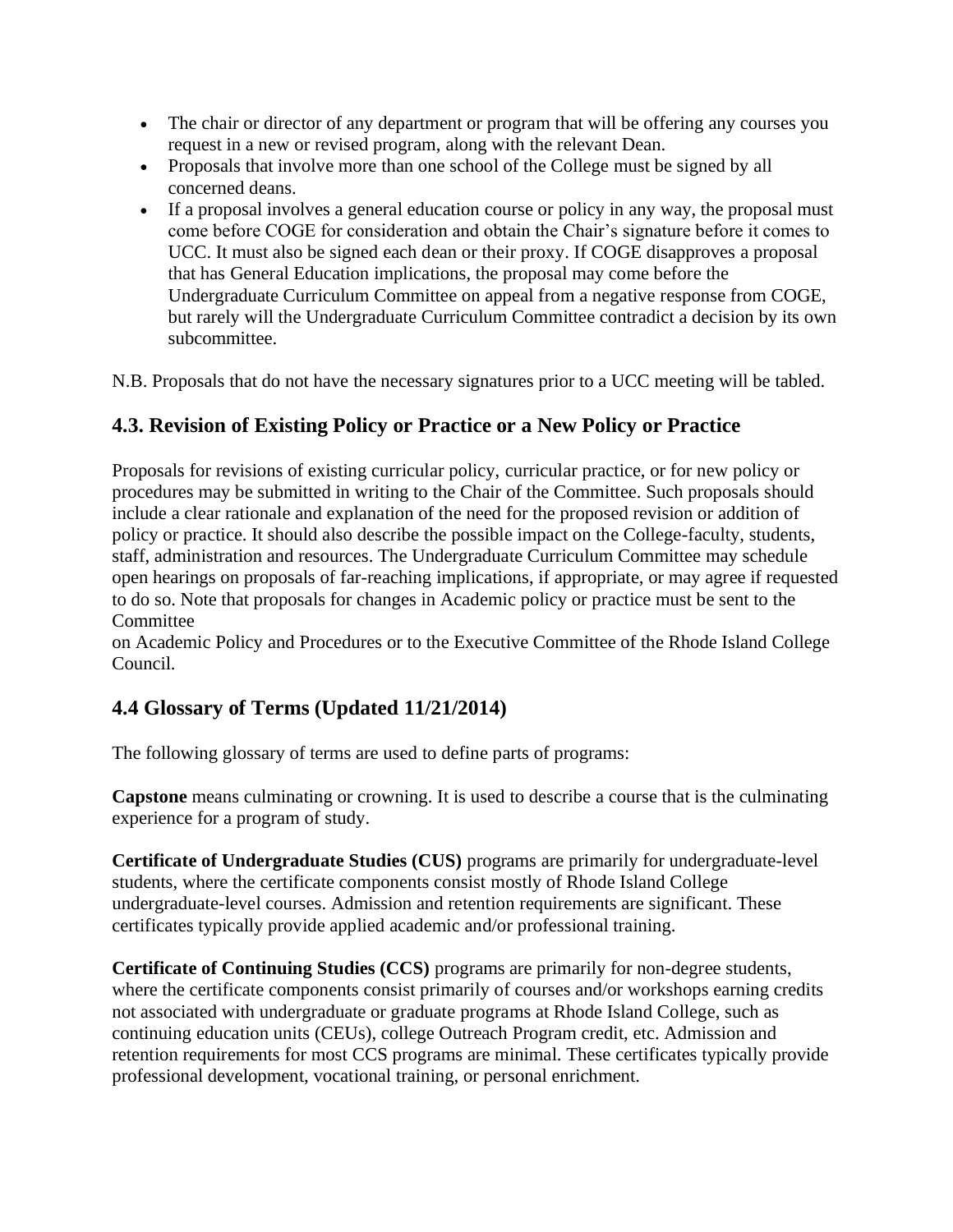- The chair or director of any department or program that will be offering any courses you request in a new or revised program, along with the relevant Dean.
- Proposals that involve more than one school of the College must be signed by all concerned deans.
- If a proposal involves a general education course or policy in any way, the proposal must come before COGE for consideration and obtain the Chair's signature before it comes to UCC. It must also be signed each dean or their proxy. If COGE disapproves a proposal that has General Education implications, the proposal may come before the Undergraduate Curriculum Committee on appeal from a negative response from COGE, but rarely will the Undergraduate Curriculum Committee contradict a decision by its own subcommittee.

N.B. Proposals that do not have the necessary signatures prior to a UCC meeting will be tabled.

# **4.3. Revision of Existing Policy or Practice or a New Policy or Practice**

Proposals for revisions of existing curricular policy, curricular practice, or for new policy or procedures may be submitted in writing to the Chair of the Committee. Such proposals should include a clear rationale and explanation of the need for the proposed revision or addition of policy or practice. It should also describe the possible impact on the College-faculty, students, staff, administration and resources. The Undergraduate Curriculum Committee may schedule open hearings on proposals of far-reaching implications, if appropriate, or may agree if requested to do so. Note that proposals for changes in Academic policy or practice must be sent to the **Committee** 

on Academic Policy and Procedures or to the Executive Committee of the Rhode Island College Council.

# **4.4 Glossary of Terms (Updated 11/21/2014)**

The following glossary of terms are used to define parts of programs:

**Capstone** means culminating or crowning. It is used to describe a course that is the culminating experience for a program of study.

**Certificate of Undergraduate Studies (CUS)** programs are primarily for undergraduate-level students, where the certificate components consist mostly of Rhode Island College undergraduate-level courses. Admission and retention requirements are significant. These certificates typically provide applied academic and/or professional training.

**Certificate of Continuing Studies (CCS)** programs are primarily for non-degree students, where the certificate components consist primarily of courses and/or workshops earning credits not associated with undergraduate or graduate programs at Rhode Island College, such as continuing education units (CEUs), college Outreach Program credit, etc. Admission and retention requirements for most CCS programs are minimal. These certificates typically provide professional development, vocational training, or personal enrichment.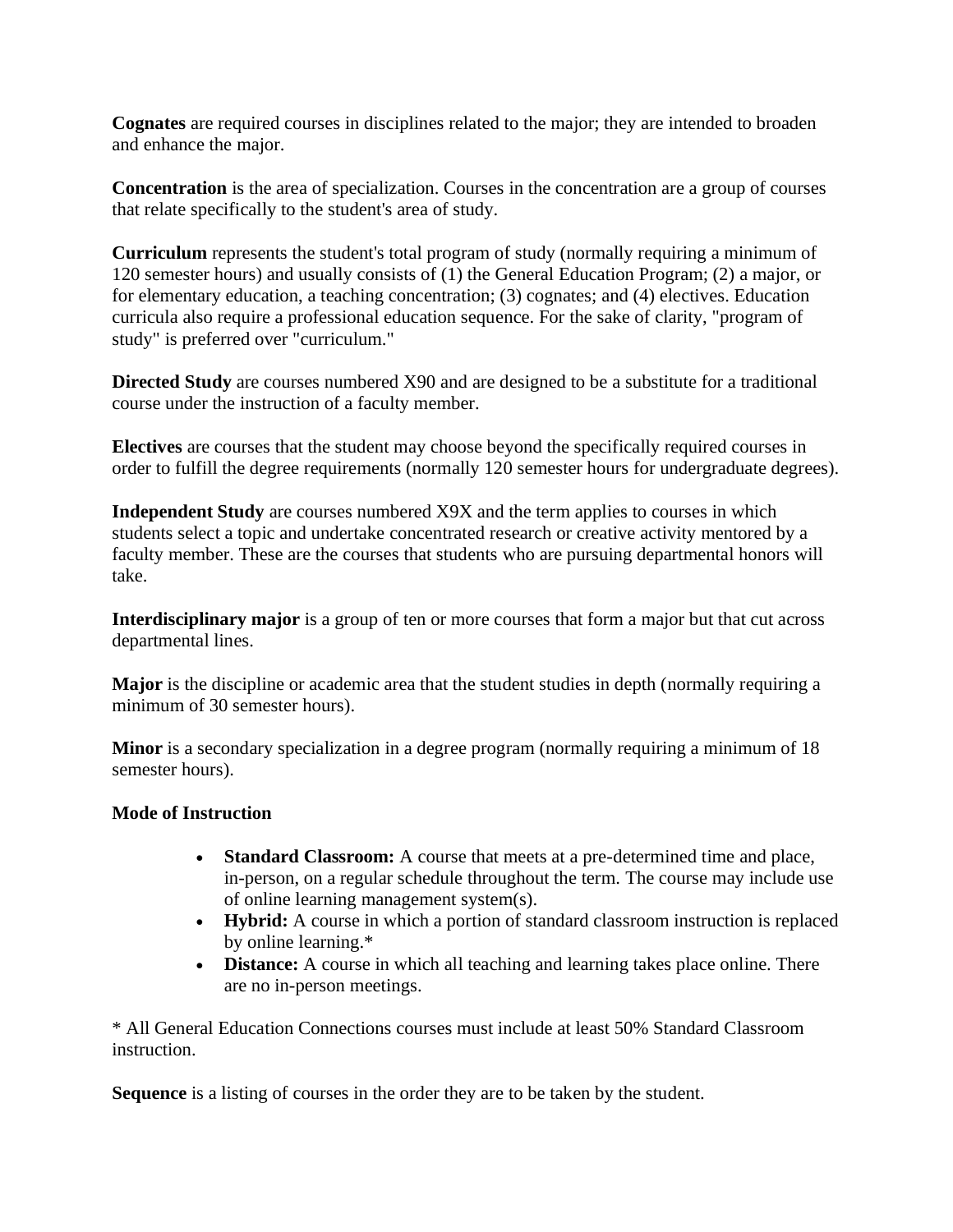**Cognates** are required courses in disciplines related to the major; they are intended to broaden and enhance the major.

**Concentration** is the area of specialization. Courses in the concentration are a group of courses that relate specifically to the student's area of study.

**Curriculum** represents the student's total program of study (normally requiring a minimum of 120 semester hours) and usually consists of (1) the General Education Program; (2) a major, or for elementary education, a teaching concentration; (3) cognates; and (4) electives. Education curricula also require a professional education sequence. For the sake of clarity, "program of study" is preferred over "curriculum."

**Directed Study** are courses numbered X90 and are designed to be a substitute for a traditional course under the instruction of a faculty member.

**Electives** are courses that the student may choose beyond the specifically required courses in order to fulfill the degree requirements (normally 120 semester hours for undergraduate degrees).

**Independent Study** are courses numbered X9X and the term applies to courses in which students select a topic and undertake concentrated research or creative activity mentored by a faculty member. These are the courses that students who are pursuing departmental honors will take.

**Interdisciplinary major** is a group of ten or more courses that form a major but that cut across departmental lines.

**Major** is the discipline or academic area that the student studies in depth (normally requiring a minimum of 30 semester hours).

**Minor** is a secondary specialization in a degree program (normally requiring a minimum of 18 semester hours).

#### **Mode of Instruction**

- **Standard Classroom:** A course that meets at a pre-determined time and place, in-person, on a regular schedule throughout the term. The course may include use of online learning management system(s).
- **Hybrid:** A course in which a portion of standard classroom instruction is replaced by online learning.\*
- **Distance:** A course in which all teaching and learning takes place online. There are no in-person meetings.

\* All General Education Connections courses must include at least 50% Standard Classroom instruction.

**Sequence** is a listing of courses in the order they are to be taken by the student.